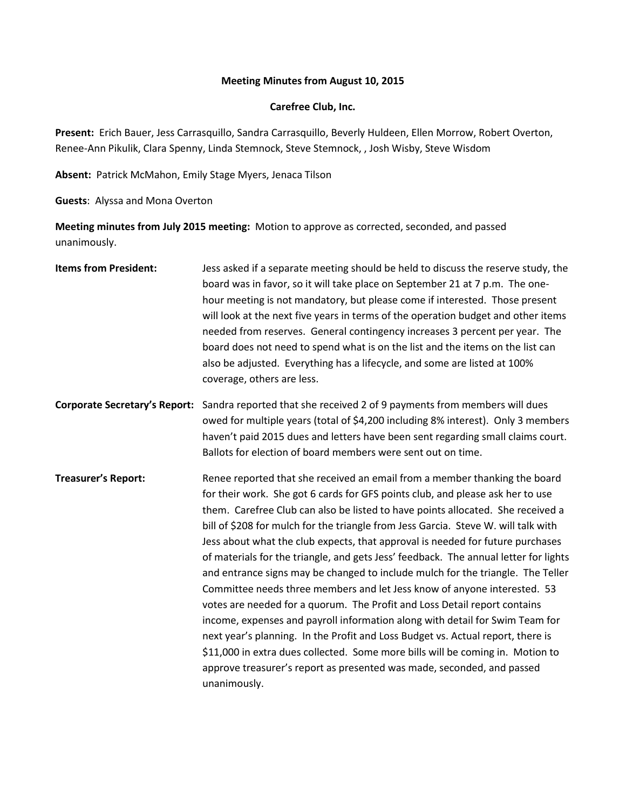### **Meeting Minutes from August 10, 2015**

### **Carefree Club, Inc.**

**Present:** Erich Bauer, Jess Carrasquillo, Sandra Carrasquillo, Beverly Huldeen, Ellen Morrow, Robert Overton, Renee-Ann Pikulik, Clara Spenny, Linda Stemnock, Steve Stemnock, , Josh Wisby, Steve Wisdom

**Absent:** Patrick McMahon, Emily Stage Myers, Jenaca Tilson

**Guests**: Alyssa and Mona Overton

**Meeting minutes from July 2015 meeting:** Motion to approve as corrected, seconded, and passed unanimously.

| <b>Items from President:</b> | Jess asked if a separate meeting should be held to discuss the reserve study, the<br>board was in favor, so it will take place on September 21 at 7 p.m. The one-<br>hour meeting is not mandatory, but please come if interested. Those present<br>will look at the next five years in terms of the operation budget and other items<br>needed from reserves. General contingency increases 3 percent per year. The<br>board does not need to spend what is on the list and the items on the list can<br>also be adjusted. Everything has a lifecycle, and some are listed at 100%<br>coverage, others are less.                                                                                                                                                                                                                                                                                                                                                                                                                                                                          |
|------------------------------|--------------------------------------------------------------------------------------------------------------------------------------------------------------------------------------------------------------------------------------------------------------------------------------------------------------------------------------------------------------------------------------------------------------------------------------------------------------------------------------------------------------------------------------------------------------------------------------------------------------------------------------------------------------------------------------------------------------------------------------------------------------------------------------------------------------------------------------------------------------------------------------------------------------------------------------------------------------------------------------------------------------------------------------------------------------------------------------------|
|                              | Corporate Secretary's Report: Sandra reported that she received 2 of 9 payments from members will dues<br>owed for multiple years (total of \$4,200 including 8% interest). Only 3 members<br>haven't paid 2015 dues and letters have been sent regarding small claims court.<br>Ballots for election of board members were sent out on time.                                                                                                                                                                                                                                                                                                                                                                                                                                                                                                                                                                                                                                                                                                                                              |
| <b>Treasurer's Report:</b>   | Renee reported that she received an email from a member thanking the board<br>for their work. She got 6 cards for GFS points club, and please ask her to use<br>them. Carefree Club can also be listed to have points allocated. She received a<br>bill of \$208 for mulch for the triangle from Jess Garcia. Steve W. will talk with<br>Jess about what the club expects, that approval is needed for future purchases<br>of materials for the triangle, and gets Jess' feedback. The annual letter for lights<br>and entrance signs may be changed to include mulch for the triangle. The Teller<br>Committee needs three members and let Jess know of anyone interested. 53<br>votes are needed for a quorum. The Profit and Loss Detail report contains<br>income, expenses and payroll information along with detail for Swim Team for<br>next year's planning. In the Profit and Loss Budget vs. Actual report, there is<br>\$11,000 in extra dues collected. Some more bills will be coming in. Motion to<br>approve treasurer's report as presented was made, seconded, and passed |

unanimously.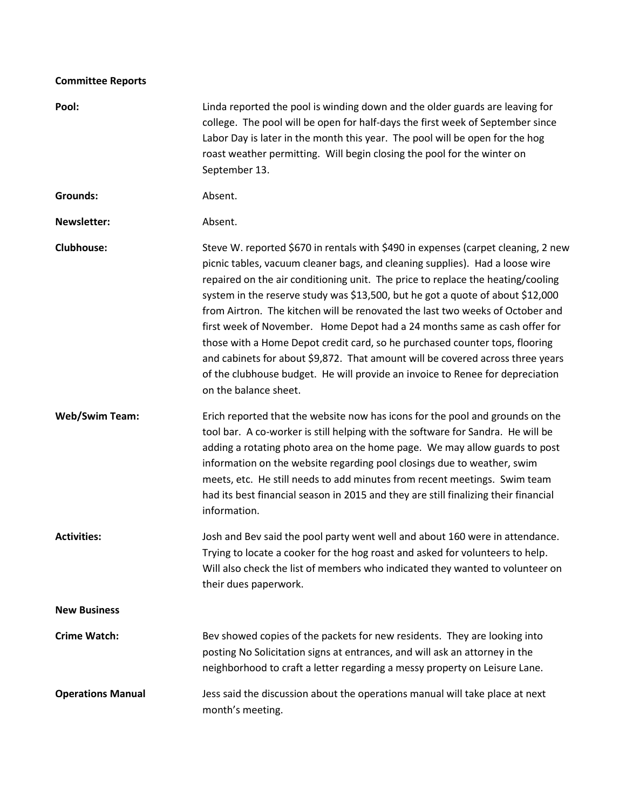# **Committee Reports**

| Pool:                    | Linda reported the pool is winding down and the older guards are leaving for<br>college. The pool will be open for half-days the first week of September since<br>Labor Day is later in the month this year. The pool will be open for the hog<br>roast weather permitting. Will begin closing the pool for the winter on<br>September 13.                                                                                                                                                                                                                                                                                                                                                                                                                                      |
|--------------------------|---------------------------------------------------------------------------------------------------------------------------------------------------------------------------------------------------------------------------------------------------------------------------------------------------------------------------------------------------------------------------------------------------------------------------------------------------------------------------------------------------------------------------------------------------------------------------------------------------------------------------------------------------------------------------------------------------------------------------------------------------------------------------------|
| <b>Grounds:</b>          | Absent.                                                                                                                                                                                                                                                                                                                                                                                                                                                                                                                                                                                                                                                                                                                                                                         |
| <b>Newsletter:</b>       | Absent.                                                                                                                                                                                                                                                                                                                                                                                                                                                                                                                                                                                                                                                                                                                                                                         |
| <b>Clubhouse:</b>        | Steve W. reported \$670 in rentals with \$490 in expenses (carpet cleaning, 2 new<br>picnic tables, vacuum cleaner bags, and cleaning supplies). Had a loose wire<br>repaired on the air conditioning unit. The price to replace the heating/cooling<br>system in the reserve study was \$13,500, but he got a quote of about \$12,000<br>from Airtron. The kitchen will be renovated the last two weeks of October and<br>first week of November. Home Depot had a 24 months same as cash offer for<br>those with a Home Depot credit card, so he purchased counter tops, flooring<br>and cabinets for about \$9,872. That amount will be covered across three years<br>of the clubhouse budget. He will provide an invoice to Renee for depreciation<br>on the balance sheet. |
| <b>Web/Swim Team:</b>    | Erich reported that the website now has icons for the pool and grounds on the<br>tool bar. A co-worker is still helping with the software for Sandra. He will be<br>adding a rotating photo area on the home page. We may allow guards to post<br>information on the website regarding pool closings due to weather, swim<br>meets, etc. He still needs to add minutes from recent meetings. Swim team<br>had its best financial season in 2015 and they are still finalizing their financial<br>information.                                                                                                                                                                                                                                                                   |
| <b>Activities:</b>       | Josh and Bev said the pool party went well and about 160 were in attendance.<br>Trying to locate a cooker for the hog roast and asked for volunteers to help.<br>Will also check the list of members who indicated they wanted to volunteer on<br>their dues paperwork.                                                                                                                                                                                                                                                                                                                                                                                                                                                                                                         |
| <b>New Business</b>      |                                                                                                                                                                                                                                                                                                                                                                                                                                                                                                                                                                                                                                                                                                                                                                                 |
| <b>Crime Watch:</b>      | Bev showed copies of the packets for new residents. They are looking into<br>posting No Solicitation signs at entrances, and will ask an attorney in the<br>neighborhood to craft a letter regarding a messy property on Leisure Lane.                                                                                                                                                                                                                                                                                                                                                                                                                                                                                                                                          |
| <b>Operations Manual</b> | Jess said the discussion about the operations manual will take place at next<br>month's meeting.                                                                                                                                                                                                                                                                                                                                                                                                                                                                                                                                                                                                                                                                                |